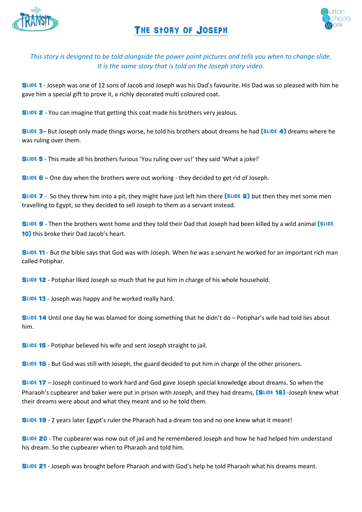

## The story of Joseph



## *This story is designed to be told alongside the power point pictures and tells you when to change slide. It is the same story that is told on the Joseph story video.*

SLIDE 1 - Joseph was one of 12 sons of Jacob and Joseph was his Dad's favourite. His Dad was so pleased with him he gave him a special gift to prove it, a richly decorated multi coloured coat.

SLIDE 2 - You can imagine that getting this coat made his brothers very jealous.

SLIDE 3– But Joseph only made things worse, he told his brothers about dreams he had (SLIDE 4) dreams where he was ruling over them.

Slide 5 - This made all his brothers furious 'You ruling over us!' they said 'What a joke!'

Slide 6 – One day when the brothers were out working - they decided to get rid of Joseph.

SLIDE 7 - So they threw him into a pit, they might have just left him there (SLIDE 8) but then they met some men travelling to Egypt, so they decided to sell Joseph to them as a servant instead.

SLIDE 9 - Then the brothers went home and they told their Dad that Joseph had been killed by a wild animal (SLIDE 10) this broke their Dad Jacob's heart.

SLIDE 11 - But the bible says that God was with Joseph. When he was a servant he worked for an important rich man called Potiphar.

SLIDE 12 - Potiphar liked Joseph so much that he put him in charge of his whole household.

SLIDE 13 - Joseph was happy and he worked really hard.

SLIDE 14 Until one day he was blamed for doing something that he didn't do - Potiphar's wife had told lies about him.

SLIDE 15 - Potiphar believed his wife and sent Joseph straight to jail.

SLIDE 16 - But God was still with Joseph, the guard decided to put him in charge of the other prisoners.

Slide 17 – Joseph continued to work hard and God gave Joseph special knowledge about dreams. So when the Pharaoh's cupbearer and baker were put in prison with Joseph, and they had dreams, (SLIDE 18) -Joseph knew what their dreams were about and what they meant and so he told them.

Slide 19 - 2 years later Egypt's ruler the Pharaoh had a dream too and no one knew what it meant!

SLIDE 20 - The cupbearer was now out of jail and he remembered Joseph and how he had helped him understand his dream. So the cupbearer when to Pharaoh and told him.

SLIDE 21 - Joseph was brought before Pharaoh and with God's help he told Pharaoh what his dreams meant.